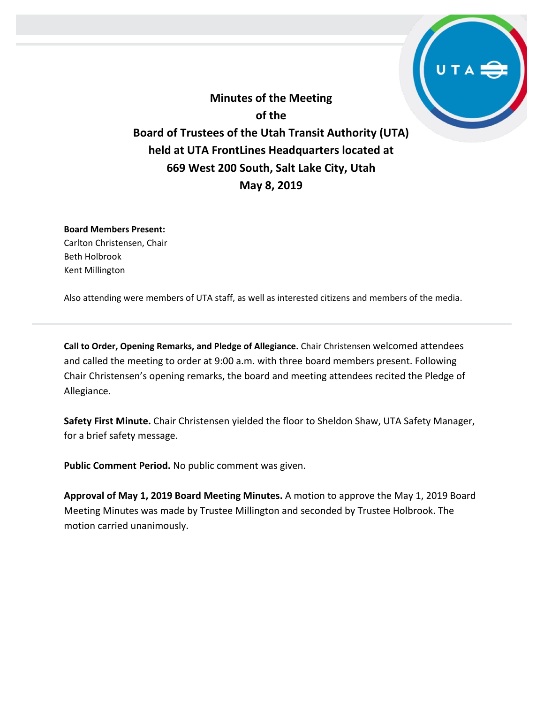**Minutes of the Meeting of the Board of Trustees of the Utah Transit Authority (UTA) held at UTA FrontLines Headquarters located at 669 West 200 South, Salt Lake City, Utah May 8, 2019**

**Board Members Present:** Carlton Christensen, Chair Beth Holbrook Kent Millington

Also attending were members of UTA staff, as well as interested citizens and members of the media.

**Call to Order, Opening Remarks, and Pledge of Allegiance.** Chair Christensen welcomed attendees and called the meeting to order at 9:00 a.m. with three board members present. Following Chair Christensen's opening remarks, the board and meeting attendees recited the Pledge of Allegiance.

**Safety First Minute.** Chair Christensen yielded the floor to Sheldon Shaw, UTA Safety Manager, for a brief safety message.

**Public Comment Period.** No public comment was given.

**Approval of May 1, 2019 Board Meeting Minutes.** A motion to approve the May 1, 2019 Board Meeting Minutes was made by Trustee Millington and seconded by Trustee Holbrook. The motion carried unanimously.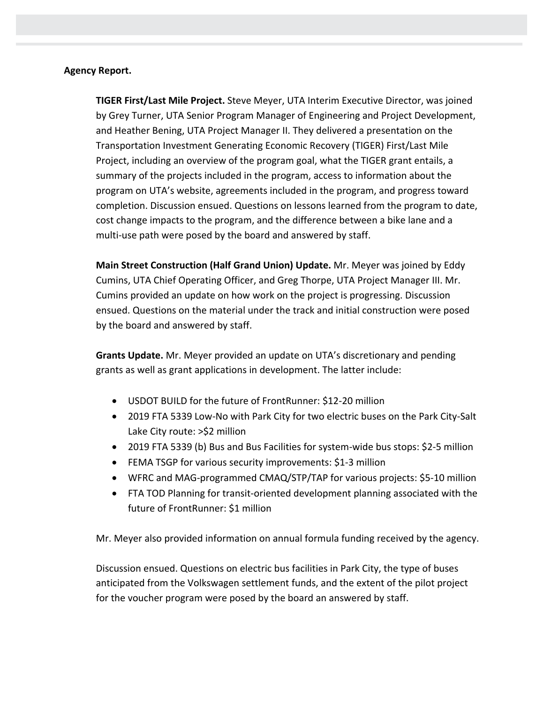#### **Agency Report.**

**TIGER First/Last Mile Project.** Steve Meyer, UTA Interim Executive Director, was joined by Grey Turner, UTA Senior Program Manager of Engineering and Project Development, and Heather Bening, UTA Project Manager II. They delivered a presentation on the Transportation Investment Generating Economic Recovery (TIGER) First/Last Mile Project, including an overview of the program goal, what the TIGER grant entails, a summary of the projects included in the program, access to information about the program on UTA's website, agreements included in the program, and progress toward completion. Discussion ensued. Questions on lessons learned from the program to date, cost change impacts to the program, and the difference between a bike lane and a multi-use path were posed by the board and answered by staff.

**Main Street Construction (Half Grand Union) Update.** Mr. Meyer was joined by Eddy Cumins, UTA Chief Operating Officer, and Greg Thorpe, UTA Project Manager III. Mr. Cumins provided an update on how work on the project is progressing. Discussion ensued. Questions on the material under the track and initial construction were posed by the board and answered by staff.

**Grants Update.** Mr. Meyer provided an update on UTA's discretionary and pending grants as well as grant applications in development. The latter include:

- USDOT BUILD for the future of FrontRunner: \$12-20 million
- 2019 FTA 5339 Low-No with Park City for two electric buses on the Park City-Salt Lake City route: >\$2 million
- 2019 FTA 5339 (b) Bus and Bus Facilities for system-wide bus stops: \$2-5 million
- FEMA TSGP for various security improvements: \$1-3 million
- WFRC and MAG-programmed CMAQ/STP/TAP for various projects: \$5-10 million
- FTA TOD Planning for transit-oriented development planning associated with the future of FrontRunner: \$1 million

Mr. Meyer also provided information on annual formula funding received by the agency.

Discussion ensued. Questions on electric bus facilities in Park City, the type of buses anticipated from the Volkswagen settlement funds, and the extent of the pilot project for the voucher program were posed by the board an answered by staff.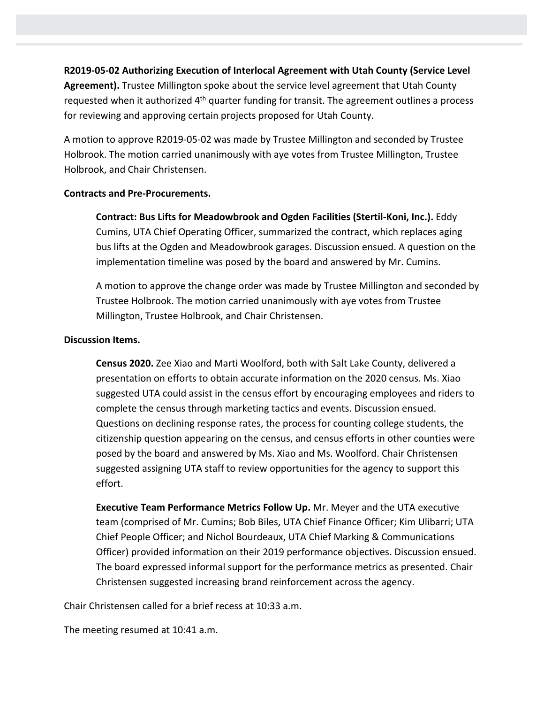# **R2019-05-02 Authorizing Execution of Interlocal Agreement with Utah County (Service Level**

**Agreement).** Trustee Millington spoke about the service level agreement that Utah County requested when it authorized 4<sup>th</sup> quarter funding for transit. The agreement outlines a process for reviewing and approving certain projects proposed for Utah County.

A motion to approve R2019-05-02 was made by Trustee Millington and seconded by Trustee Holbrook. The motion carried unanimously with aye votes from Trustee Millington, Trustee Holbrook, and Chair Christensen.

## **Contracts and Pre-Procurements.**

**Contract: Bus Lifts for Meadowbrook and Ogden Facilities (Stertil-Koni, Inc.).** Eddy Cumins, UTA Chief Operating Officer, summarized the contract, which replaces aging bus lifts at the Ogden and Meadowbrook garages. Discussion ensued. A question on the implementation timeline was posed by the board and answered by Mr. Cumins.

A motion to approve the change order was made by Trustee Millington and seconded by Trustee Holbrook. The motion carried unanimously with aye votes from Trustee Millington, Trustee Holbrook, and Chair Christensen.

#### **Discussion Items.**

**Census 2020.** Zee Xiao and Marti Woolford, both with Salt Lake County, delivered a presentation on efforts to obtain accurate information on the 2020 census. Ms. Xiao suggested UTA could assist in the census effort by encouraging employees and riders to complete the census through marketing tactics and events. Discussion ensued. Questions on declining response rates, the process for counting college students, the citizenship question appearing on the census, and census efforts in other counties were posed by the board and answered by Ms. Xiao and Ms. Woolford. Chair Christensen suggested assigning UTA staff to review opportunities for the agency to support this effort.

**Executive Team Performance Metrics Follow Up.** Mr. Meyer and the UTA executive team (comprised of Mr. Cumins; Bob Biles, UTA Chief Finance Officer; Kim Ulibarri; UTA Chief People Officer; and Nichol Bourdeaux, UTA Chief Marking & Communications Officer) provided information on their 2019 performance objectives. Discussion ensued. The board expressed informal support for the performance metrics as presented. Chair Christensen suggested increasing brand reinforcement across the agency.

Chair Christensen called for a brief recess at 10:33 a.m.

The meeting resumed at 10:41 a.m.